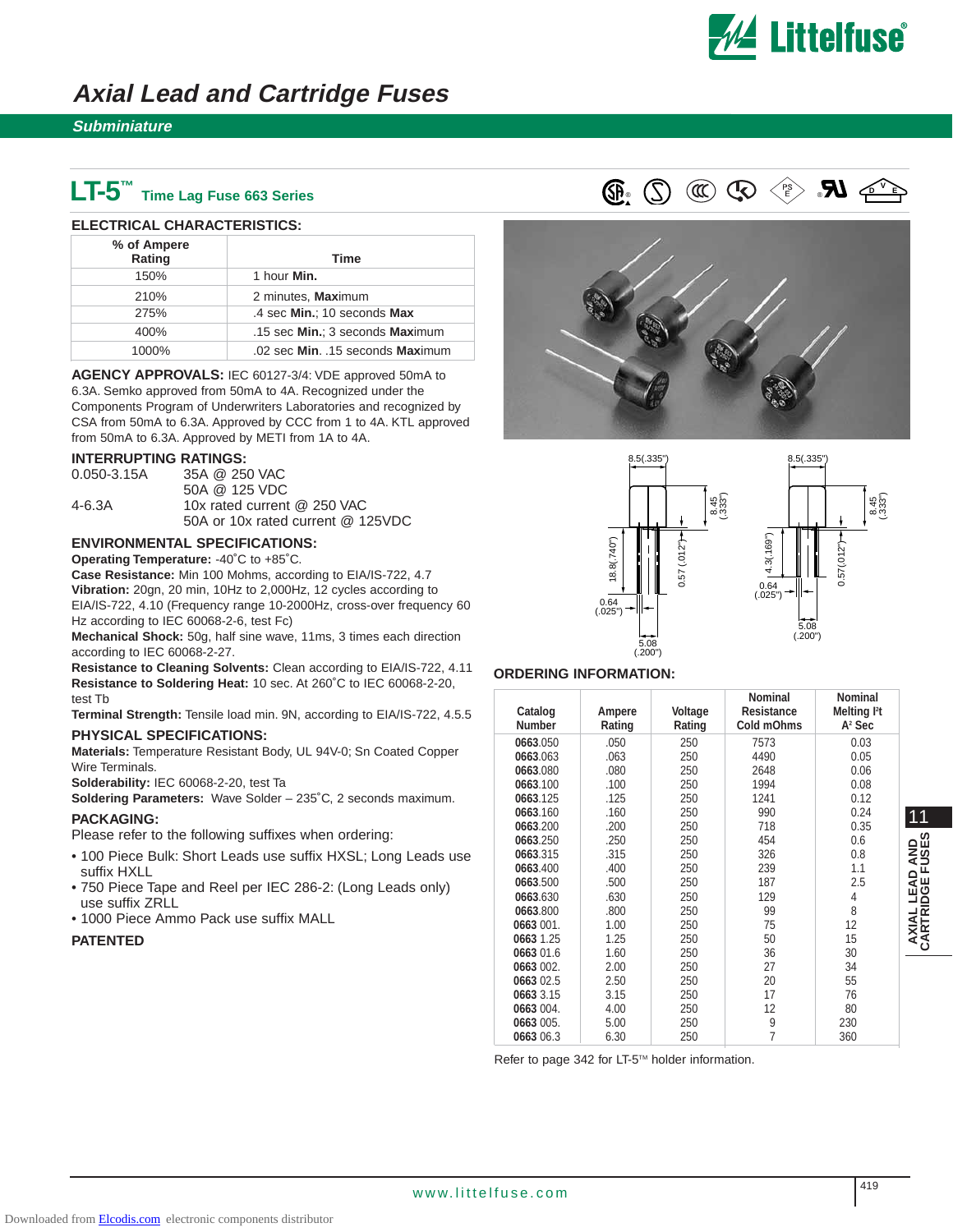

# **Axial Lead and Cartridge Fuses**

### **Subminiature**

# **LT-5™ Time Lag Fuse 663 Series**

#### **ELECTRICAL CHARACTERISTICS:**

| % of Ampere<br>Rating | Time                             |
|-----------------------|----------------------------------|
| 150%                  | 1 hour Min.                      |
| 210%                  | 2 minutes, Maximum               |
| 275%                  | .4 sec Min.; 10 seconds Max      |
| 400%                  | .15 sec Min.; 3 seconds Maximum  |
| 1000%                 | .02 sec Min. .15 seconds Maximum |

**AGENCY APPROVALS:** IEC 60127-3/4: VDE approved 50mA to 6.3A. Semko approved from 50mA to 4A. Recognized under the Components Program of Underwriters Laboratories and recognized by CSA from 50mA to 6.3A. Approved by CCC from 1 to 4A. KTL approved from 50mA to 6.3A. Approved by METI from 1A to 4A.

#### **INTERRUPTING RATINGS:**

| $0.050 - 3.15A$ | 35A @ 250 VAC                     |
|-----------------|-----------------------------------|
|                 | 50A @ 125 VDC                     |
| 4-6.3A          | 10x rated current @ 250 VAC       |
|                 | 50A or 10x rated current @ 125VDC |

## **ENVIRONMENTAL SPECIFICATIONS:**

**Operating Temperature:** -40˚C to +85˚C.

**Case Resistance:** Min 100 Mohms, according to EIA/IS-722, 4.7 **Vibration:** 20gn, 20 min, 10Hz to 2,000Hz, 12 cycles according to EIA/IS-722, 4.10 (Frequency range 10-2000Hz, cross-over frequency 60 Hz according to IEC 60068-2-6, test Fc)

**Mechanical Shock:** 50g, half sine wave, 11ms, 3 times each direction according to IEC 60068-2-27.

**Resistance to Cleaning Solvents:** Clean according to EIA/IS-722, 4.11 **Resistance to Soldering Heat:** 10 sec. At 260˚C to IEC 60068-2-20, test Tb

**Terminal Strength:** Tensile load min. 9N, according to EIA/IS-722, 4.5.5

## **PHYSICAL SPECIFICATIONS:**

**Materials:** Temperature Resistant Body, UL 94V-0; Sn Coated Copper Wire Terminals.

**Solderability:** IEC 60068-2-20, test Ta

**Soldering Parameters:** Wave Solder – 235˚C, 2 seconds maximum.

**PACKAGING:** Please refer to the following suffixes when ordering:

- 100 Piece Bulk: Short Leads use suffix HXSL; Long Leads use suffix HXLL
- 750 Piece Tape and Reel per IEC 286-2: (Long Leads only) use suffix ZRLL
- 1000 Piece Ammo Pack use suffix MALL

#### **PATENTED**









#### **ORDERING INFORMATION:**

| Catalog<br><b>Number</b> | Ampere<br>Rating | Voltage<br>Rating | <b>Nominal</b><br><b>Resistance</b><br>Cold mOhms | <b>Nominal</b><br>Melting <sup>12</sup> t<br>$A2$ Sec |                 |
|--------------------------|------------------|-------------------|---------------------------------------------------|-------------------------------------------------------|-----------------|
| 0663.050                 | .050             | 250               | 7573                                              | 0.03                                                  |                 |
| 0663.063                 | .063             | 250               | 4490                                              | 0.05                                                  |                 |
| 0663.080                 | .080             | 250               | 2648                                              | 0.06                                                  |                 |
| 0663.100                 | .100             | 250               | 1994                                              | 0.08                                                  |                 |
| 0663.125                 | .125             | 250               | 1241                                              | 0.12                                                  |                 |
| 0663.160                 | .160             | 250               | 990                                               | 0.24                                                  | 11              |
| 0663.200                 | .200             | 250               | 718                                               | 0.35                                                  |                 |
| 0663.250                 | .250             | 250               | 454                                               | 0.6                                                   | $\Omega$        |
| 0663.315                 | .315             | 250               | 326                                               | 0.8                                                   | am<br>S         |
| 0663.400                 | .400             | 250               | 239                                               | 1.1                                                   | ≼⊇ັ<br>≏        |
| 0663.500                 | .500             | 250               | 187                                               | 2.5                                                   | ∢ш              |
| 0663.630                 | .630             | 250               | 129                                               | 4                                                     | ய்ம<br>₫        |
| 0663.800                 | .800             | 250               | 99                                                | 8                                                     |                 |
| 0663 001.                | 1.00             | 250               | 75                                                | 12                                                    |                 |
| 0663 1.25                | 1.25             | 250               | 50                                                | 15                                                    | AXIAL<br>CARTRI |
| 0663 01.6                | 1.60             | 250               | 36                                                | 30                                                    |                 |
| 0663 002.                | 2.00             | 250               | 27                                                | 34                                                    |                 |
| 0663 02.5                | 2.50             | 250               | 20                                                | 55                                                    |                 |
| 0663 3.15                | 3.15             | 250               | 17                                                | 76                                                    |                 |
| 0663 004.                | 4.00             | 250               | 12                                                | 80                                                    |                 |
| 0663 005.                | 5.00             | 250               | 9                                                 | 230                                                   |                 |
| 0663 06.3                | 6.30             | 250               | $\overline{7}$                                    | 360                                                   |                 |

Refer to page 342 for LT-5<sup>™</sup> holder information.